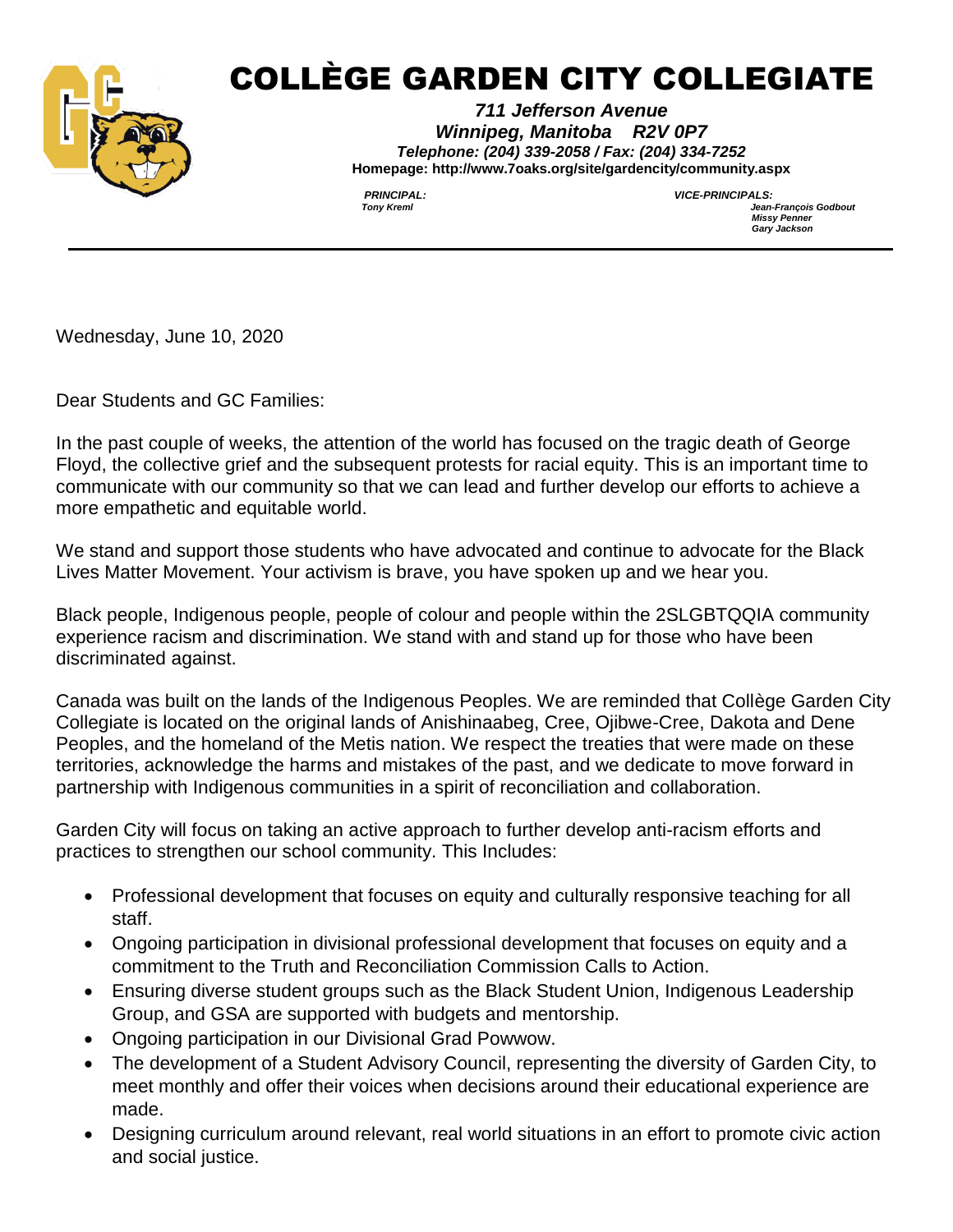

## COLLÈGE GARDEN CITY COLLEGIATE

*711 Jefferson Avenue Winnipeg, Manitoba R2V 0P7 Telephone: (204) 339-2058 / Fax: (204) 334-7252* **Homepage: http://www.7oaks.org/site/gardencity/community.aspx**

*PRINCIPAL: VICE-PRINCIPALS: Tony Kreml Jean-François Godbout Missy Penner Gary Jackson* 

Wednesday, June 10, 2020

Dear Students and GC Families:

In the past couple of weeks, the attention of the world has focused on the tragic death of George Floyd, the collective grief and the subsequent protests for racial equity. This is an important time to communicate with our community so that we can lead and further develop our efforts to achieve a more empathetic and equitable world.

We stand and support those students who have advocated and continue to advocate for the Black Lives Matter Movement. Your activism is brave, you have spoken up and we hear you.

Black people, Indigenous people, people of colour and people within the 2SLGBTQQIA community experience racism and discrimination. We stand with and stand up for those who have been discriminated against.

Canada was built on the lands of the Indigenous Peoples. We are reminded that Collège Garden City Collegiate is located on the original lands of Anishinaabeg, Cree, Ojibwe-Cree, Dakota and Dene Peoples, and the homeland of the Metis nation. We respect the treaties that were made on these territories, acknowledge the harms and mistakes of the past, and we dedicate to move forward in partnership with Indigenous communities in a spirit of reconciliation and collaboration.

Garden City will focus on taking an active approach to further develop anti-racism efforts and practices to strengthen our school community. This Includes:

- Professional development that focuses on equity and culturally responsive teaching for all staff.
- Ongoing participation in divisional professional development that focuses on equity and a commitment to the Truth and Reconciliation Commission Calls to Action.
- Ensuring diverse student groups such as the Black Student Union, Indigenous Leadership Group, and GSA are supported with budgets and mentorship.
- Ongoing participation in our Divisional Grad Powwow.
- The development of a Student Advisory Council, representing the diversity of Garden City, to meet monthly and offer their voices when decisions around their educational experience are made.
- Designing curriculum around relevant, real world situations in an effort to promote civic action and social justice.